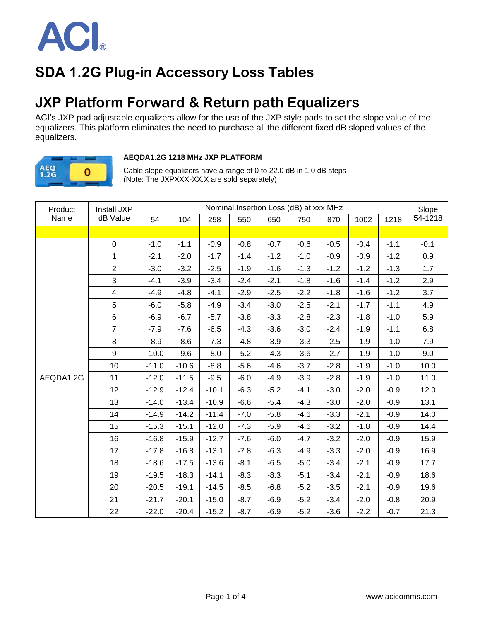

## **SDA 1.2G Plug-in Accessory Loss Tables**

### **JXP Platform Forward & Return path Equalizers**

ACI's JXP pad adjustable equalizers allow for the use of the JXP style pads to set the slope value of the equalizers. This platform eliminates the need to purchase all the different fixed dB sloped values of the equalizers.



#### **AEQDA1.2G 1218 MHz JXP PLATFORM**

Cable slope equalizers have a range of 0 to 22.0 dB in 1.0 dB steps (Note: The JXPXXX-XX.X are sold separately)

| Product   | Install JXP    |         |         |         |        |        | Nominal Insertion Loss (dB) at xxx MHz |        |        |        | Slope   |
|-----------|----------------|---------|---------|---------|--------|--------|----------------------------------------|--------|--------|--------|---------|
| Name      | dB Value       | 54      | 104     | 258     | 550    | 650    | 750                                    | 870    | 1002   | 1218   | 54-1218 |
|           |                |         |         |         |        |        |                                        |        |        |        |         |
|           | $\mathbf 0$    | $-1.0$  | $-1.1$  | $-0.9$  | $-0.8$ | $-0.7$ | $-0.6$                                 | $-0.5$ | $-0.4$ | $-1.1$ | $-0.1$  |
|           | $\mathbf{1}$   | $-2.1$  | $-2.0$  | $-1.7$  | $-1.4$ | $-1.2$ | $-1.0$                                 | $-0.9$ | $-0.9$ | $-1.2$ | 0.9     |
|           | $\overline{2}$ | $-3.0$  | $-3.2$  | $-2.5$  | $-1.9$ | $-1.6$ | $-1.3$                                 | $-1.2$ | $-1.2$ | $-1.3$ | 1.7     |
|           | $\mathfrak{S}$ | $-4.1$  | $-3.9$  | $-3.4$  | $-2.4$ | $-2.1$ | $-1.8$                                 | $-1.6$ | $-1.4$ | $-1.2$ | 2.9     |
|           | $\overline{4}$ | $-4.9$  | $-4.8$  | $-4.1$  | $-2.9$ | $-2.5$ | $-2.2$                                 | $-1.8$ | $-1.6$ | $-1.2$ | 3.7     |
|           | 5              | $-6.0$  | $-5.8$  | $-4.9$  | $-3.4$ | $-3.0$ | $-2.5$                                 | $-2.1$ | $-1.7$ | $-1.1$ | 4.9     |
|           | $\,6\,$        | $-6.9$  | $-6.7$  | $-5.7$  | $-3.8$ | $-3.3$ | $-2.8$                                 | $-2.3$ | $-1.8$ | $-1.0$ | 5.9     |
|           | $\overline{7}$ | $-7.9$  | $-7.6$  | $-6.5$  | $-4.3$ | $-3.6$ | $-3.0$                                 | $-2.4$ | $-1.9$ | $-1.1$ | 6.8     |
|           | 8              | $-8.9$  | $-8.6$  | $-7.3$  | $-4.8$ | $-3.9$ | $-3.3$                                 | $-2.5$ | $-1.9$ | $-1.0$ | 7.9     |
|           | 9              | $-10.0$ | $-9.6$  | $-8.0$  | $-5.2$ | $-4.3$ | $-3.6$                                 | $-2.7$ | $-1.9$ | $-1.0$ | 9.0     |
|           | 10             | $-11.0$ | $-10.6$ | $-8.8$  | $-5.6$ | $-4.6$ | $-3.7$                                 | $-2.8$ | $-1.9$ | $-1.0$ | 10.0    |
| AEQDA1.2G | 11             | $-12.0$ | $-11.5$ | $-9.5$  | $-6.0$ | $-4.9$ | $-3.9$                                 | $-2.8$ | $-1.9$ | $-1.0$ | 11.0    |
|           | 12             | $-12.9$ | $-12.4$ | $-10.1$ | $-6.3$ | $-5.2$ | $-4.1$                                 | $-3.0$ | $-2.0$ | $-0.9$ | 12.0    |
|           | 13             | $-14.0$ | $-13.4$ | $-10.9$ | $-6.6$ | $-5.4$ | $-4.3$                                 | $-3.0$ | $-2.0$ | $-0.9$ | 13.1    |
|           | 14             | $-14.9$ | $-14.2$ | $-11.4$ | $-7.0$ | $-5.8$ | $-4.6$                                 | $-3.3$ | $-2.1$ | $-0.9$ | 14.0    |
|           | 15             | $-15.3$ | $-15.1$ | $-12.0$ | $-7.3$ | $-5.9$ | $-4.6$                                 | $-3.2$ | $-1.8$ | $-0.9$ | 14.4    |
|           | 16             | $-16.8$ | $-15.9$ | $-12.7$ | $-7.6$ | $-6.0$ | $-4.7$                                 | $-3.2$ | $-2.0$ | $-0.9$ | 15.9    |
|           | 17             | $-17.8$ | $-16.8$ | $-13.1$ | $-7.8$ | $-6.3$ | $-4.9$                                 | $-3.3$ | $-2.0$ | $-0.9$ | 16.9    |
|           | 18             | $-18.6$ | $-17.5$ | $-13.6$ | $-8.1$ | $-6.5$ | $-5.0$                                 | $-3.4$ | $-2.1$ | $-0.9$ | 17.7    |
|           | 19             | $-19.5$ | $-18.3$ | $-14.1$ | $-8.3$ | $-8.3$ | $-5.1$                                 | $-3.4$ | $-2.1$ | $-0.9$ | 18.6    |
|           | 20             | $-20.5$ | $-19.1$ | $-14.5$ | $-8.5$ | $-6.8$ | $-5.2$                                 | $-3.5$ | $-2.1$ | $-0.9$ | 19.6    |
|           | 21             | $-21.7$ | $-20.1$ | $-15.0$ | $-8.7$ | $-6.9$ | $-5.2$                                 | $-3.4$ | $-2.0$ | $-0.8$ | 20.9    |
|           | 22             | $-22.0$ | $-20.4$ | $-15.2$ | $-8.7$ | $-6.9$ | $-5.2$                                 | $-3.6$ | $-2.2$ | $-0.7$ | 21.3    |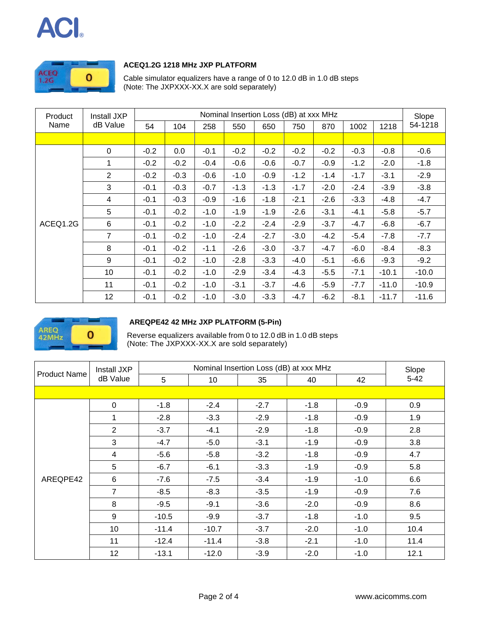# $\boldsymbol{\mathsf{ACI}}$



#### **ACEQ1.2G 1218 MHz JXP PLATFORM**

Cable simulator equalizers have a range of 0 to 12.0 dB in 1.0 dB steps (Note: The JXPXXX-XX.X are sold separately)

| Product  | Nominal Insertion Loss (dB) at xxx MHz<br>Install JXP |        |        |        |        |        |        |        |        | Slope   |         |
|----------|-------------------------------------------------------|--------|--------|--------|--------|--------|--------|--------|--------|---------|---------|
| Name     | dB Value                                              | 54     | 104    | 258    | 550    | 650    | 750    | 870    | 1002   | 1218    | 54-1218 |
|          |                                                       |        |        |        |        |        |        |        |        |         |         |
|          | 0                                                     | $-0.2$ | 0.0    | $-0.1$ | $-0.2$ | $-0.2$ | $-0.2$ | $-0.2$ | $-0.3$ | $-0.8$  | $-0.6$  |
|          | 1                                                     | $-0.2$ | $-0.2$ | $-0.4$ | $-0.6$ | $-0.6$ | $-0.7$ | $-0.9$ | $-1.2$ | $-2.0$  | $-1.8$  |
|          | $\overline{2}$                                        | $-0.2$ | $-0.3$ | $-0.6$ | $-1.0$ | $-0.9$ | $-1.2$ | $-1.4$ | $-1.7$ | $-3.1$  | $-2.9$  |
|          | 3                                                     | $-0.1$ | $-0.3$ | $-0.7$ | $-1.3$ | $-1.3$ | $-1.7$ | $-2.0$ | $-2.4$ | $-3.9$  | $-3.8$  |
|          | 4                                                     | $-0.1$ | $-0.3$ | $-0.9$ | $-1.6$ | $-1.8$ | $-2.1$ | $-2.6$ | $-3.3$ | $-4.8$  | $-4.7$  |
|          | 5                                                     | $-0.1$ | $-0.2$ | $-1.0$ | $-1.9$ | $-1.9$ | $-2.6$ | $-3.1$ | $-4.1$ | $-5.8$  | $-5.7$  |
| ACEQ1.2G | $6\phantom{1}6$                                       | $-0.1$ | $-0.2$ | $-1.0$ | $-2.2$ | $-2.4$ | $-2.9$ | $-3.7$ | $-4.7$ | $-6.8$  | $-6.7$  |
|          | 7                                                     | $-0.1$ | $-0.2$ | $-1.0$ | $-2.4$ | $-2.7$ | $-3.0$ | $-4.2$ | $-5.4$ | $-7.8$  | $-7.7$  |
|          | 8                                                     | $-0.1$ | $-0.2$ | $-1.1$ | $-2.6$ | $-3.0$ | $-3.7$ | $-4.7$ | $-6.0$ | $-8.4$  | $-8.3$  |
|          | 9                                                     | $-0.1$ | $-0.2$ | $-1.0$ | $-2.8$ | $-3.3$ | $-4.0$ | $-5.1$ | $-6.6$ | $-9.3$  | $-9.2$  |
|          | 10                                                    | $-0.1$ | $-0.2$ | $-1.0$ | $-2.9$ | $-3.4$ | $-4.3$ | $-5.5$ | $-7.1$ | $-10.1$ | $-10.0$ |
|          | 11                                                    | $-0.1$ | $-0.2$ | $-1.0$ | $-3.1$ | $-3.7$ | $-4.6$ | $-5.9$ | $-7.7$ | $-11.0$ | $-10.9$ |
|          | 12 <sub>2</sub>                                       | $-0.1$ | $-0.2$ | $-1.0$ | $-3.0$ | $-3.3$ | $-4.7$ | $-6.2$ | $-8.1$ | $-11.7$ | $-11.6$ |



#### **AREQPE42 42 MHz JXP PLATFORM (5-Pin)**

Reverse equalizers available from 0 to 12.0 dB in 1.0 dB steps (Note: The JXPXXX-XX.X are sold separately)

| <b>Product Name</b> | Install JXP    |         | Slope   |        |        |        |          |
|---------------------|----------------|---------|---------|--------|--------|--------|----------|
|                     | dB Value       | 5       | 10      | 35     | 40     | 42     | $5 - 42$ |
|                     |                |         |         |        |        |        |          |
|                     | $\pmb{0}$      | $-1.8$  | $-2.4$  | $-2.7$ | $-1.8$ | $-0.9$ | 0.9      |
|                     | 1              | $-2.8$  | $-3.3$  | $-2.9$ | $-1.8$ | $-0.9$ | 1.9      |
|                     | 2              | $-3.7$  | $-4.1$  | $-2.9$ | $-1.8$ | $-0.9$ | 2.8      |
|                     | 3              | $-4.7$  | $-5.0$  | $-3.1$ | $-1.9$ | $-0.9$ | 3.8      |
|                     | 4              | $-5.6$  | $-5.8$  | $-3.2$ | $-1.8$ | $-0.9$ | 4.7      |
|                     | 5              | $-6.7$  | $-6.1$  | $-3.3$ | $-1.9$ | $-0.9$ | 5.8      |
| AREQPE42            | 6              | $-7.6$  | $-7.5$  | $-3.4$ | $-1.9$ | $-1.0$ | 6.6      |
|                     | $\overline{7}$ | $-8.5$  | $-8.3$  | $-3.5$ | $-1.9$ | $-0.9$ | 7.6      |
|                     | 8              | $-9.5$  | $-9.1$  | $-3.6$ | $-2.0$ | $-0.9$ | 8.6      |
|                     | $9\,$          | $-10.5$ | $-9.9$  | $-3.7$ | $-1.8$ | $-1.0$ | 9.5      |
|                     | 10             | $-11.4$ | $-10.7$ | $-3.7$ | $-2.0$ | $-1.0$ | 10.4     |
|                     | 11             | $-12.4$ | $-11.4$ | $-3.8$ | $-2.1$ | $-1.0$ | 11.4     |
|                     | 12             | $-13.1$ | $-12.0$ | $-3.9$ | $-2.0$ | $-1.0$ | 12.1     |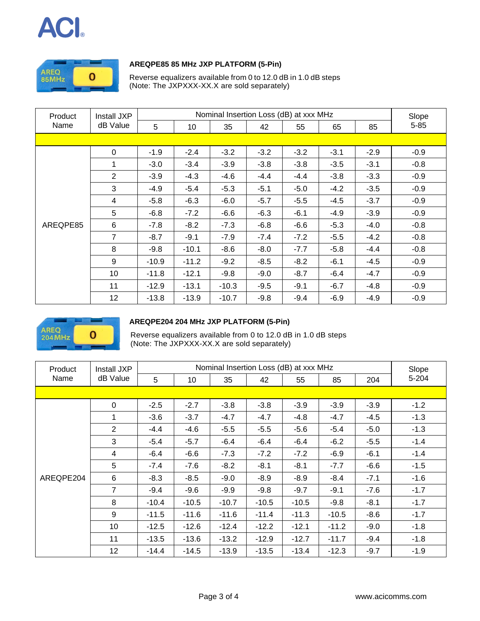



#### **AREQPE85 85 MHz JXP PLATFORM (5-Pin)**

Reverse equalizers available from 0 to 12.0 dB in 1.0 dB steps (Note: The JXPXXX-XX.X are sold separately)

| Product  | Install JXP    |         | Slope   |         |        |        |        |        |          |
|----------|----------------|---------|---------|---------|--------|--------|--------|--------|----------|
| Name     | dB Value       | 5       | 10      | 35      | 42     | 55     | 65     | 85     | $5 - 85$ |
|          |                |         |         |         |        |        |        |        |          |
|          | $\Omega$       | $-1.9$  | $-2.4$  | $-3.2$  | $-3.2$ | $-3.2$ | $-3.1$ | $-2.9$ | $-0.9$   |
|          | 1              | $-3.0$  | $-3.4$  | $-3.9$  | $-3.8$ | $-3.8$ | $-3.5$ | $-3.1$ | $-0.8$   |
|          | $\overline{2}$ | $-3.9$  | $-4.3$  | $-4.6$  | $-4.4$ | $-4.4$ | $-3.8$ | $-3.3$ | $-0.9$   |
|          | 3              | $-4.9$  | $-5.4$  | $-5.3$  | $-5.1$ | $-5.0$ | $-4.2$ | $-3.5$ | $-0.9$   |
|          | $\overline{4}$ | $-5.8$  | $-6.3$  | $-6.0$  | $-5.7$ | $-5.5$ | $-4.5$ | $-3.7$ | $-0.9$   |
|          | 5              | $-6.8$  | $-7.2$  | $-6.6$  | $-6.3$ | $-6.1$ | $-4.9$ | $-3.9$ | $-0.9$   |
| AREQPE85 | 6              | $-7.8$  | $-8.2$  | $-7.3$  | $-6.8$ | $-6.6$ | $-5.3$ | $-4.0$ | $-0.8$   |
|          | $\overline{7}$ | $-8.7$  | $-9.1$  | $-7.9$  | $-7.4$ | $-7.2$ | $-5.5$ | $-4.2$ | $-0.8$   |
|          | 8              | $-9.8$  | $-10.1$ | $-8.6$  | $-8.0$ | $-7.7$ | $-5.8$ | $-4.4$ | $-0.8$   |
|          | 9              | $-10.9$ | $-11.2$ | $-9.2$  | $-8.5$ | $-8.2$ | $-6.1$ | $-4.5$ | $-0.9$   |
|          | 10             | $-11.8$ | $-12.1$ | $-9.8$  | $-9.0$ | $-8.7$ | $-6.4$ | $-4.7$ | $-0.9$   |
|          | 11             | $-12.9$ | $-13.1$ | $-10.3$ | $-9.5$ | $-9.1$ | $-6.7$ | $-4.8$ | $-0.9$   |
|          | 12             | $-13.8$ | $-13.9$ | $-10.7$ | $-9.8$ | $-9.4$ | $-6.9$ | $-4.9$ | $-0.9$   |



#### **AREQPE204 204 MHz JXP PLATFORM (5-Pin)**

Reverse equalizers available from 0 to 12.0 dB in 1.0 dB steps (Note: The JXPXXX-XX.X are sold separately)

| Product   | Install JXP    |         | Slope   |         |         |         |         |        |        |
|-----------|----------------|---------|---------|---------|---------|---------|---------|--------|--------|
| Name      | dB Value       | 5       | 10      | 35      | 42      | 55      | 85      | 204    | 5-204  |
|           |                |         |         |         |         |         |         |        |        |
|           | 0              | $-2.5$  | $-2.7$  | $-3.8$  | $-3.8$  | $-3.9$  | $-3.9$  | $-3.9$ | $-1.2$ |
|           | 1              | $-3.6$  | $-3.7$  | $-4.7$  | $-4.7$  | $-4.8$  | $-4.7$  | $-4.5$ | $-1.3$ |
|           | $\overline{2}$ | $-4.4$  | $-4.6$  | $-5.5$  | $-5.5$  | $-5.6$  | $-5.4$  | $-5.0$ | $-1.3$ |
|           | 3              | $-5.4$  | $-5.7$  | $-6.4$  | $-6.4$  | $-6.4$  | $-6.2$  | $-5.5$ | $-1.4$ |
|           | 4              | $-6.4$  | $-6.6$  | $-7.3$  | $-7.2$  | $-7.2$  | $-6.9$  | $-6.1$ | $-1.4$ |
|           | 5              | $-7.4$  | $-7.6$  | $-8.2$  | $-8.1$  | $-8.1$  | $-7.7$  | $-6.6$ | $-1.5$ |
| AREQPE204 | 6              | $-8.3$  | $-8.5$  | $-9.0$  | $-8.9$  | $-8.9$  | $-8.4$  | $-7.1$ | $-1.6$ |
|           | $\overline{7}$ | $-9.4$  | $-9.6$  | $-9.9$  | $-9.8$  | $-9.7$  | $-9.1$  | $-7.6$ | $-1.7$ |
|           | 8              | $-10.4$ | $-10.5$ | $-10.7$ | $-10.5$ | $-10.5$ | $-9.8$  | $-8.1$ | $-1.7$ |
|           | 9              | $-11.5$ | $-11.6$ | $-11.6$ | $-11.4$ | $-11.3$ | $-10.5$ | $-8.6$ | $-1.7$ |
|           | 10             | $-12.5$ | $-12.6$ | $-12.4$ | $-12.2$ | $-12.1$ | $-11.2$ | $-9.0$ | $-1.8$ |
|           | 11             | $-13.5$ | $-13.6$ | $-13.2$ | $-12.9$ | $-12.7$ | $-11.7$ | $-9.4$ | $-1.8$ |
|           | 12             | $-14.4$ | $-14.5$ | $-13.9$ | $-13.5$ | $-13.4$ | $-12.3$ | $-9.7$ | $-1.9$ |